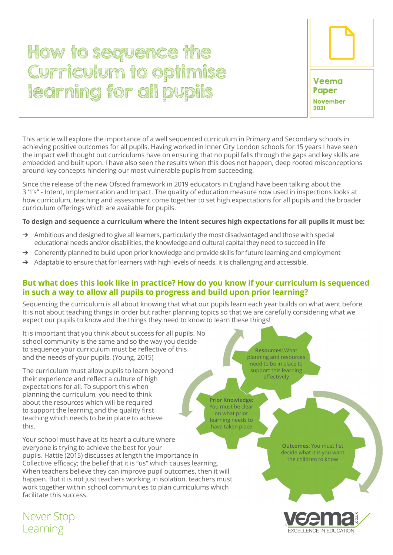# How to sequence the Curriculum to optimise learning for all pupils Veema



This article will explore the importance of a well sequenced curriculum in Primary and Secondary schools in achieving positive outcomes for all pupils. Having worked in Inner City London schools for 15 years I have seen the impact well thought out curriculums have on ensuring that no pupil falls through the gaps and key skills are embedded and built upon. I have also seen the results when this does not happen, deep rooted misconceptions around key concepts hindering our most vulnerable pupils from succeeding.

Since the release of the new Ofsted framework in 2019 educators in England have been talking about the 3 '1's" - Intent, Implementation and Impact. The quality of education measure now used in inspections looks at how curriculum, teaching and assessment come together to set high expectations for all pupils and the broader curriculum offerings which are available for pupils.

#### **To design and sequence a curriculum where the Intent secures high expectations for all pupils it must be:**

- $\rightarrow$  Ambitious and designed to give all learners, particularly the most disadvantaged and those with special educational needs and/or disabilities, the knowledge and cultural capital they need to succeed in life
- $\rightarrow$  Coherently planned to build upon prior knowledge and provide skills for future learning and employment
- $\rightarrow$  Adaptable to ensure that for learners with high levels of needs, it is challenging and accessible.

## **But what does this look like in practice? How do you know if your curriculum is sequenced in such a way to allow all pupils to progress and build upon prior learning?**

Sequencing the curriculum is all about knowing that what our pupils learn each year builds on what went before. It is not about teaching things in order but rather planning topics so that we are carefully considering what we expect our pupils to know and the things they need to know to learn these things!

It is important that you think about success for all pupils. No school community is the same and so the way you decide to sequence your curriculum must be reflective of this and the needs of your pupils. (Young, 2015)

The curriculum must allow pupils to learn beyond their experience and reflect a culture of high expectations for all. To support this when planning the curriculum, you need to think about the resources which will be required to support the learning and the quality first teaching which needs to be in place to achieve this.

Your school must have at its heart a culture where everyone is trying to achieve the best for your pupils. Hattie (2015) discusses at length the importance in Collective efficacy; the belief that it is "us" which causes learning. When teachers believe they can improve pupil outcomes, then it will happen. But it is not just teachers working in isolation, teachers must work together within school communities to plan curriculums which facilitate this success.

**Resources:** What planning and resources need to be in place to support this learning effectively

**Prior Knowledge:**  You must be clear on what prior learning needs to have taken place

> **Outcomes:** You must fist decide what it is you want the children to know



Never Stop Learning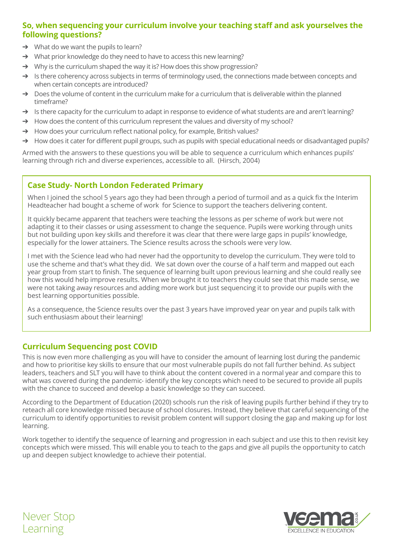# **So, when sequencing your curriculum involve your teaching staff and ask yourselves the following questions?**

- $\rightarrow$  What do we want the pupils to learn?
- ➔ What prior knowledge do they need to have to access this new learning?
- $\rightarrow$  Why is the curriculum shaped the way it is? How does this show progression?
- ➔ Is there coherency across subjects in terms of terminology used, the connections made between concepts and when certain concepts are introduced?
- $\rightarrow$  Does the volume of content in the curriculum make for a curriculum that is deliverable within the planned timeframe?
- ➔ Is there capacity for the curriculum to adapt in response to evidence of what students are and aren't learning?
- $\rightarrow$  How does the content of this curriculum represent the values and diversity of my school?
- $\rightarrow$  How does your curriculum reflect national policy, for example, British values?
- $\rightarrow$  How does it cater for different pupil groups, such as pupils with special educational needs or disadvantaged pupils?

Armed with the answers to these questions you will be able to sequence a curriculum which enhances pupils' learning through rich and diverse experiences, accessible to all. (Hirsch, 2004)

## **Case Study- North London Federated Primary**

When I joined the school 5 years ago they had been through a period of turmoil and as a quick fix the Interim Headteacher had bought a scheme of work for Science to support the teachers delivering content.

It quickly became apparent that teachers were teaching the lessons as per scheme of work but were not adapting it to their classes or using assessment to change the sequence. Pupils were working through units but not building upon key skills and therefore it was clear that there were large gaps in pupils' knowledge, especially for the lower attainers. The Science results across the schools were very low.

I met with the Science lead who had never had the opportunity to develop the curriculum. They were told to use the scheme and that's what they did. We sat down over the course of a half term and mapped out each year group from start to finish. The sequence of learning built upon previous learning and she could really see how this would help improve results. When we brought it to teachers they could see that this made sense, we were not taking away resources and adding more work but just sequencing it to provide our pupils with the best learning opportunities possible.

As a consequence, the Science results over the past 3 years have improved year on year and pupils talk with such enthusiasm about their learning!

#### **Curriculum Sequencing post COVID**

This is now even more challenging as you will have to consider the amount of learning lost during the pandemic and how to prioritise key skills to ensure that our most vulnerable pupils do not fall further behind. As subject leaders, teachers and SLT you will have to think about the content covered in a normal year and compare this to what was covered during the pandemic- identify the key concepts which need to be secured to provide all pupils with the chance to succeed and develop a basic knowledge so they can succeed.

According to the Department of Education (2020) schools run the risk of leaving pupils further behind if they try to reteach all core knowledge missed because of school closures. Instead, they believe that careful sequencing of the curriculum to identify opportunities to revisit problem content will support closing the gap and making up for lost learning.

Work together to identify the sequence of learning and progression in each subject and use this to then revisit key concepts which were missed. This will enable you to teach to the gaps and give all pupils the opportunity to catch up and deepen subject knowledge to achieve their potential.



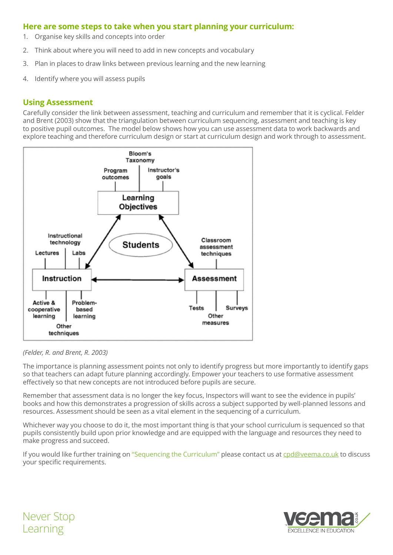#### **Here are some steps to take when you start planning your curriculum:**

- 1. Organise key skills and concepts into order
- 2. Think about where you will need to add in new concepts and vocabulary
- 3. Plan in places to draw links between previous learning and the new learning
- 4. Identify where you will assess pupils

#### **Using Assessment**

Carefully consider the link between assessment, teaching and curriculum and remember that it is cyclical. Felder and Brent (2003) show that the triangulation between curriculum sequencing, assessment and teaching is key to positive pupil outcomes. The model below shows how you can use assessment data to work backwards and explore teaching and therefore curriculum design or start at curriculum design and work through to assessment.



#### *(Felder, R. and Brent, R. 2003)*

The importance is planning assessment points not only to identify progress but more importantly to identify gaps so that teachers can adapt future planning accordingly. Empower your teachers to use formative assessment effectively so that new concepts are not introduced before pupils are secure.

Remember that assessment data is no longer the key focus, Inspectors will want to see the evidence in pupils' books and how this demonstrates a progression of skills across a subject supported by well-planned lessons and resources. Assessment should be seen as a vital element in the sequencing of a curriculum.

Whichever way you choose to do it, the most important thing is that your school curriculum is sequenced so that pupils consistently build upon prior knowledge and are equipped with the language and resources they need to make progress and succeed.

If you would like further training on "Sequencing the Curriculum" please contact us at [cpd@veema.co.uk t](cpd@veema.co.uk)o discuss your specific requirements.